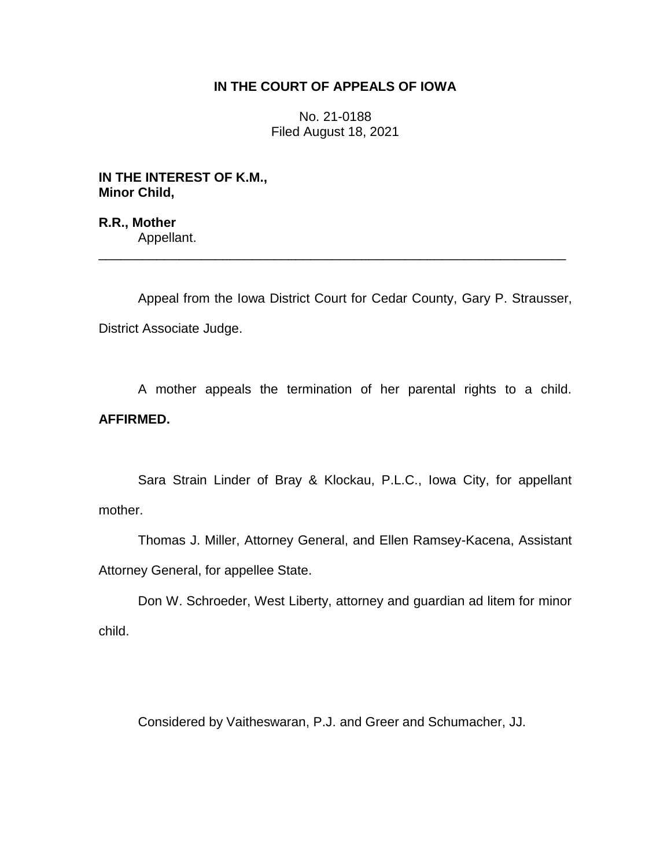# **IN THE COURT OF APPEALS OF IOWA**

No. 21-0188 Filed August 18, 2021

**IN THE INTEREST OF K.M., Minor Child,**

**R.R., Mother** Appellant.

Appeal from the Iowa District Court for Cedar County, Gary P. Strausser, District Associate Judge.

\_\_\_\_\_\_\_\_\_\_\_\_\_\_\_\_\_\_\_\_\_\_\_\_\_\_\_\_\_\_\_\_\_\_\_\_\_\_\_\_\_\_\_\_\_\_\_\_\_\_\_\_\_\_\_\_\_\_\_\_\_\_\_\_

A mother appeals the termination of her parental rights to a child. **AFFIRMED.**

Sara Strain Linder of Bray & Klockau, P.L.C., Iowa City, for appellant mother.

Thomas J. Miller, Attorney General, and Ellen Ramsey-Kacena, Assistant Attorney General, for appellee State.

Don W. Schroeder, West Liberty, attorney and guardian ad litem for minor child.

Considered by Vaitheswaran, P.J. and Greer and Schumacher, JJ.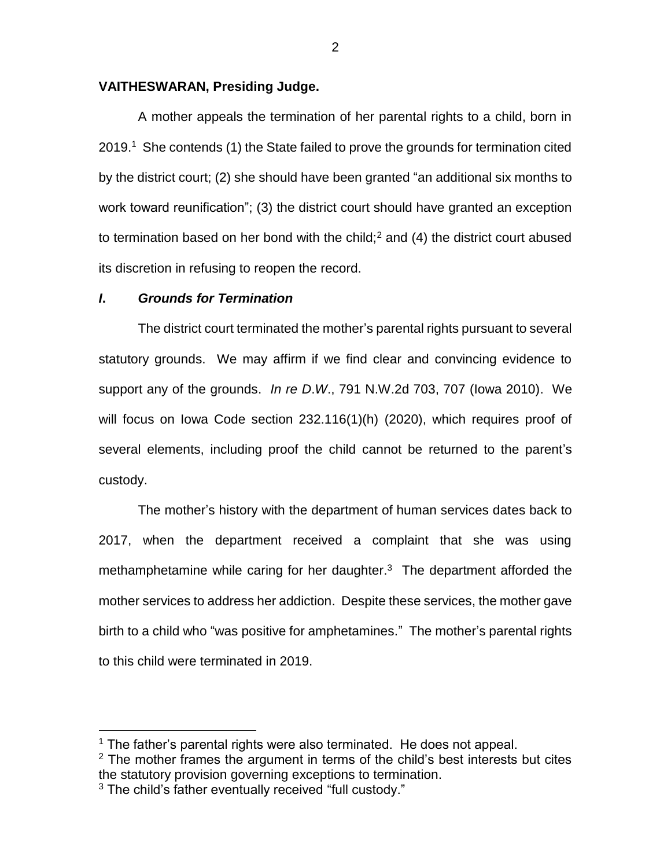## **VAITHESWARAN, Presiding Judge.**

A mother appeals the termination of her parental rights to a child, born in 2019.<sup>1</sup> She contends (1) the State failed to prove the grounds for termination cited by the district court; (2) she should have been granted "an additional six months to work toward reunification"; (3) the district court should have granted an exception to termination based on her bond with the child;<sup>2</sup> and (4) the district court abused its discretion in refusing to reopen the record.

### *I***.** *Grounds for Termination*

The district court terminated the mother's parental rights pursuant to several statutory grounds. We may affirm if we find clear and convincing evidence to support any of the grounds. *In re D*.*W*., 791 N.W.2d 703, 707 (Iowa 2010). We will focus on Iowa Code section 232.116(1)(h) (2020), which requires proof of several elements, including proof the child cannot be returned to the parent's custody.

The mother's history with the department of human services dates back to 2017, when the department received a complaint that she was using methamphetamine while caring for her daughter. $3$  The department afforded the mother services to address her addiction. Despite these services, the mother gave birth to a child who "was positive for amphetamines." The mother's parental rights to this child were terminated in 2019.

 $\overline{a}$ 

 $1$  The father's parental rights were also terminated. He does not appeal.

 $2$  The mother frames the argument in terms of the child's best interests but cites the statutory provision governing exceptions to termination.

<sup>&</sup>lt;sup>3</sup> The child's father eventually received "full custody."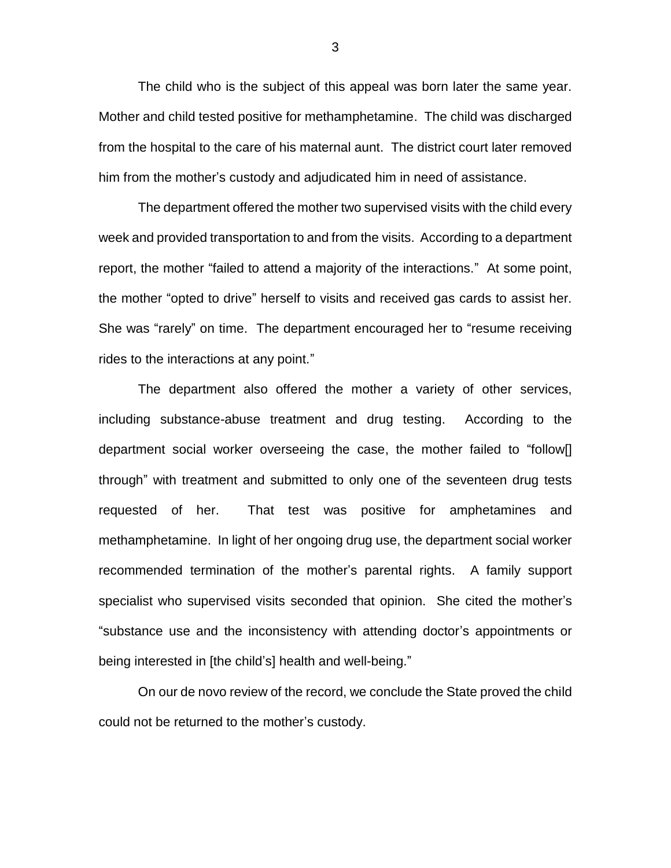The child who is the subject of this appeal was born later the same year. Mother and child tested positive for methamphetamine. The child was discharged from the hospital to the care of his maternal aunt. The district court later removed him from the mother's custody and adjudicated him in need of assistance.

The department offered the mother two supervised visits with the child every week and provided transportation to and from the visits. According to a department report, the mother "failed to attend a majority of the interactions." At some point, the mother "opted to drive" herself to visits and received gas cards to assist her. She was "rarely" on time. The department encouraged her to "resume receiving rides to the interactions at any point."

The department also offered the mother a variety of other services, including substance-abuse treatment and drug testing. According to the department social worker overseeing the case, the mother failed to "follow[] through" with treatment and submitted to only one of the seventeen drug tests requested of her. That test was positive for amphetamines and methamphetamine. In light of her ongoing drug use, the department social worker recommended termination of the mother's parental rights. A family support specialist who supervised visits seconded that opinion. She cited the mother's "substance use and the inconsistency with attending doctor's appointments or being interested in [the child's] health and well-being."

On our de novo review of the record, we conclude the State proved the child could not be returned to the mother's custody.

3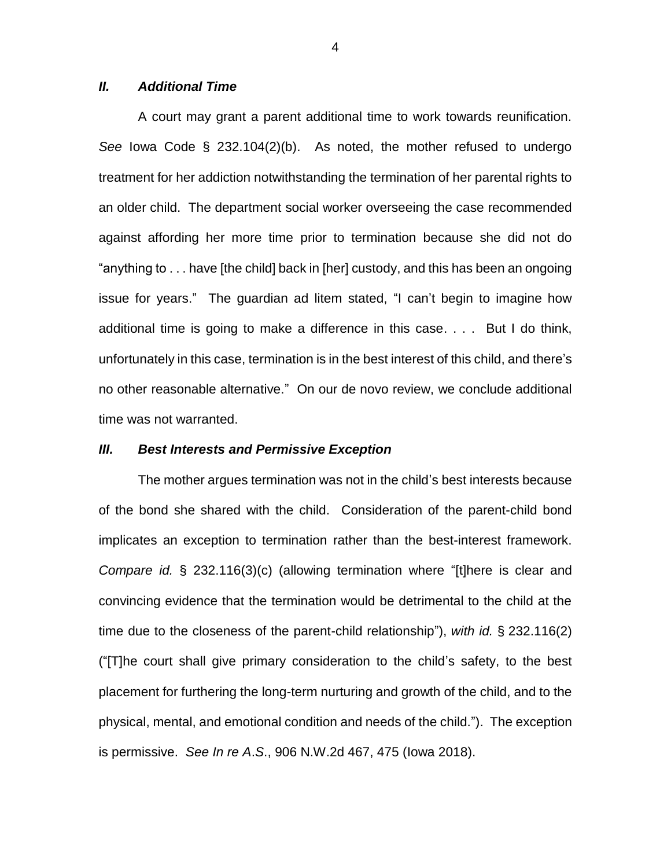#### *II. Additional Time*

A court may grant a parent additional time to work towards reunification. *See* Iowa Code § 232.104(2)(b). As noted, the mother refused to undergo treatment for her addiction notwithstanding the termination of her parental rights to an older child. The department social worker overseeing the case recommended against affording her more time prior to termination because she did not do "anything to . . . have [the child] back in [her] custody, and this has been an ongoing issue for years." The guardian ad litem stated, "I can't begin to imagine how additional time is going to make a difference in this case. . . . But I do think, unfortunately in this case, termination is in the best interest of this child, and there's no other reasonable alternative." On our de novo review, we conclude additional time was not warranted.

#### *III. Best Interests and Permissive Exception*

The mother argues termination was not in the child's best interests because of the bond she shared with the child. Consideration of the parent-child bond implicates an exception to termination rather than the best-interest framework. *Compare id.* § 232.116(3)(c) (allowing termination where "[t]here is clear and convincing evidence that the termination would be detrimental to the child at the time due to the closeness of the parent-child relationship"), *with id.* § 232.116(2) ("[T]he court shall give primary consideration to the child's safety, to the best placement for furthering the long-term nurturing and growth of the child, and to the physical, mental, and emotional condition and needs of the child."). The exception is permissive. *See In re A*.*S*., 906 N.W.2d 467, 475 (Iowa 2018).

4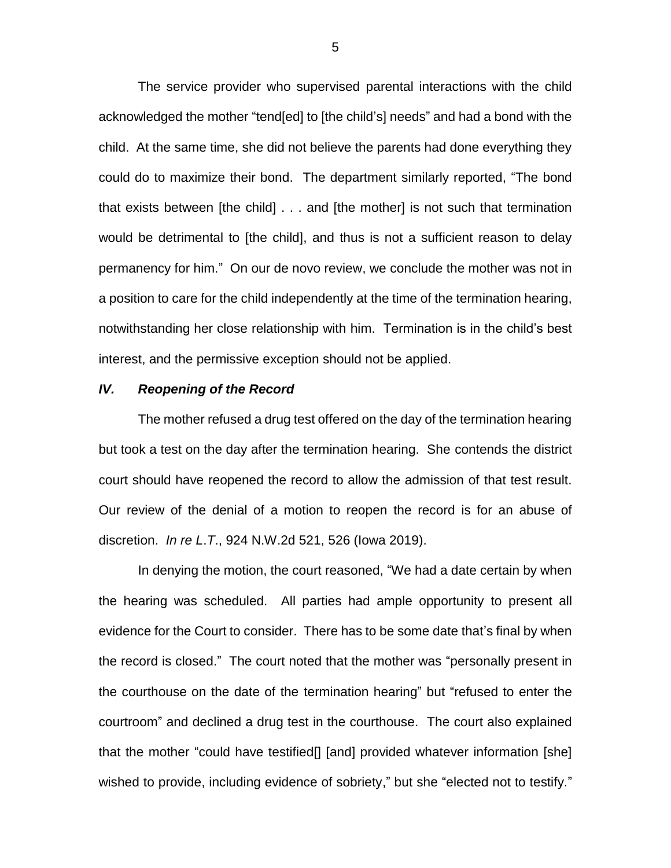The service provider who supervised parental interactions with the child acknowledged the mother "tend[ed] to [the child's] needs" and had a bond with the child. At the same time, she did not believe the parents had done everything they could do to maximize their bond. The department similarly reported, "The bond that exists between [the child] . . . and [the mother] is not such that termination would be detrimental to [the child], and thus is not a sufficient reason to delay permanency for him." On our de novo review, we conclude the mother was not in a position to care for the child independently at the time of the termination hearing, notwithstanding her close relationship with him. Termination is in the child's best interest, and the permissive exception should not be applied.

#### *IV. Reopening of the Record*

The mother refused a drug test offered on the day of the termination hearing but took a test on the day after the termination hearing. She contends the district court should have reopened the record to allow the admission of that test result. Our review of the denial of a motion to reopen the record is for an abuse of discretion. *In re L*.*T*., 924 N.W.2d 521, 526 (Iowa 2019).

In denying the motion, the court reasoned, "We had a date certain by when the hearing was scheduled. All parties had ample opportunity to present all evidence for the Court to consider. There has to be some date that's final by when the record is closed." The court noted that the mother was "personally present in the courthouse on the date of the termination hearing" but "refused to enter the courtroom" and declined a drug test in the courthouse. The court also explained that the mother "could have testified[] [and] provided whatever information [she] wished to provide, including evidence of sobriety," but she "elected not to testify."